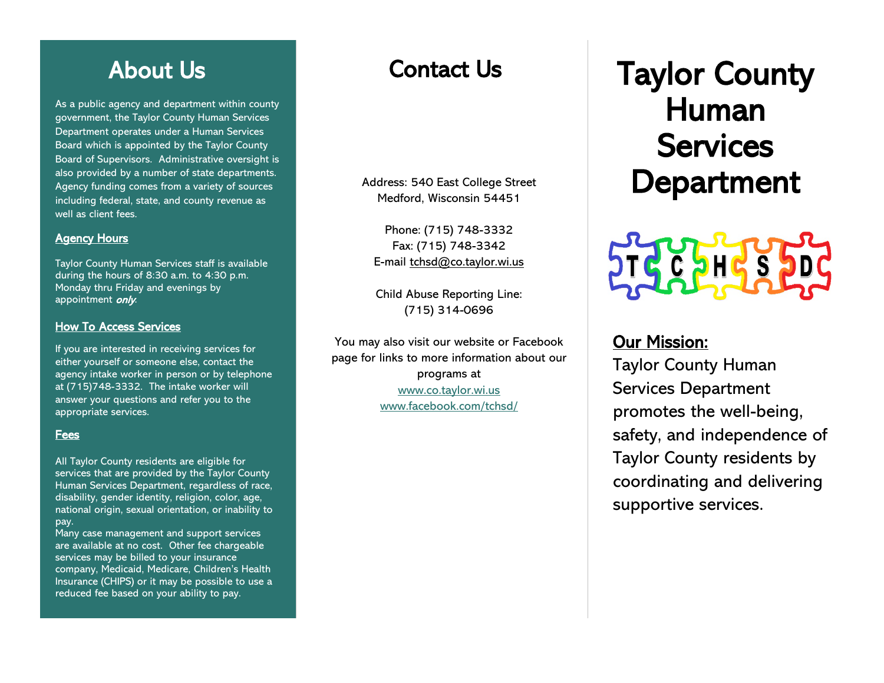# About Us

As a public agency and department within county government, the Taylor County Human Services Department operates under a Human Services Board which is appointed by the Taylor County Board of Supervisors. Administrative oversight is also provided by a number of state departments. Agency funding comes from a variety of sources including federal, state, and county revenue as well as client fees.

#### **Agency Hours**

Taylor County Human Services staff is available during the hours of 8:30 a.m. to 4:30 p.m. Monday thru Friday and evenings by appointment *only*.

#### How To Access Services

If you are interested in receiving services for either yourself or someone else, contact the agency intake worker in person or by telephone at (715)748-3332. The intake worker will answer your questions and refer you to the appropriate services.

#### Fees

All Taylor County residents are eligible for services that are provided by the Taylor County Human Services Department, regardless of race, disability, gender identity, religion, color, age, national origin, sexual orientation, or inability to pay.

Many case management and support services are available at no cost. Other fee chargeable services may be billed to your insurance company, Medicaid, Medicare, Children's Health Insurance (CHIPS) or it may be possible to use a reduced fee based on your ability to pay.

# Contact Us

 Address: 540 East College Street Medford, Wisconsin 54451

Phone: (715) 748-3332 Fax: (715) 748-3342 E-mail [tchsd@co.taylor.wi.us](mailto:tchsd@co.taylor.wi.us)

Child Abuse Reporting Line: (715) 314-0696

You may also visit our website or Facebook page for links to more information about our programs at [www.co.taylor.wi.us](http://www.co.taylor.wi.us/) [www.facebook.com/tchsd/](http://www.facebook.com/tchsd/)

# Taylor County Human **Services** Department



# Our Mission:

Taylor County Human Services Department promotes the well-being, safety, and independence of Taylor County residents by coordinating and delivering supportive services.